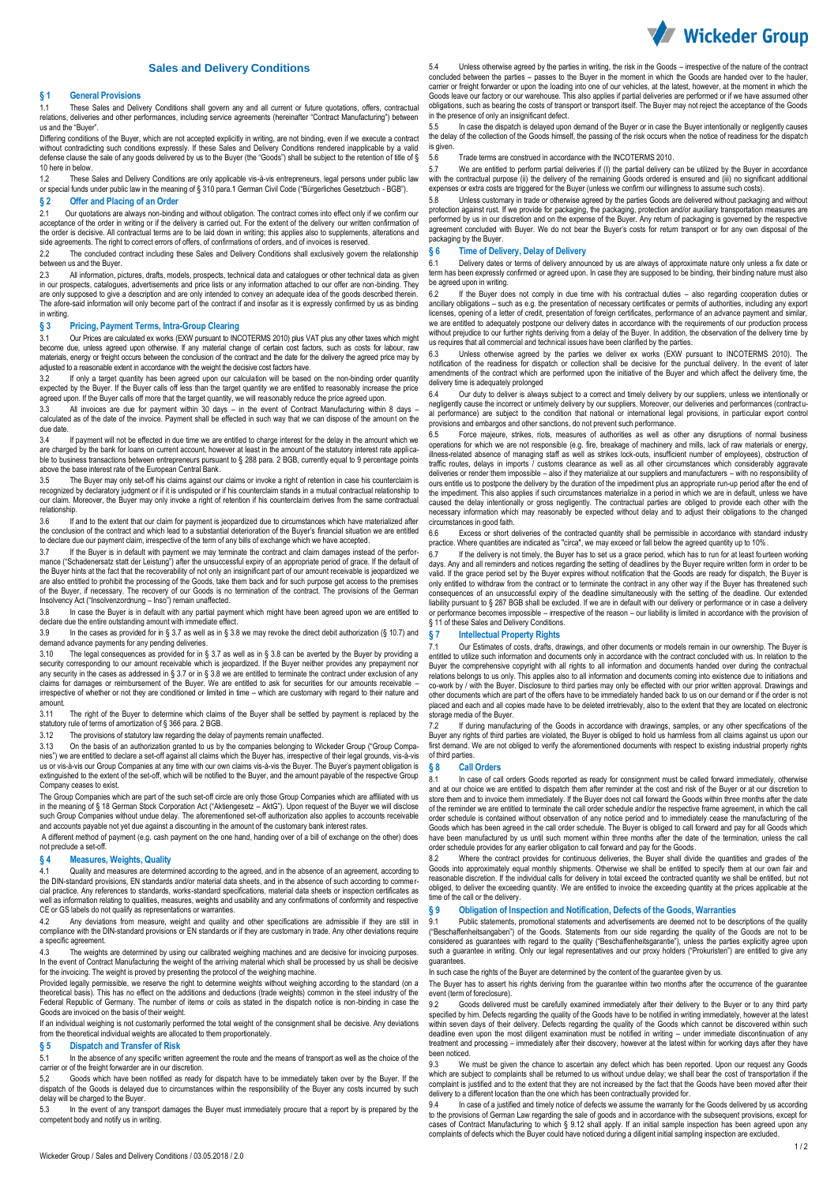

# **Sales and Delivery Conditions**

#### **§ 1 General Provisions**

1.1 These Sales and Delivery Conditions shall govern any and all current or future quotations, offers, contractual relations, deliveries and other performances, including service agreements (hereinafter "Contract Manufacturing") between us and the "Buyer".

Differing conditions of the Buyer, which are not accepted explicitly in writing, are not binding, even if we execute a contract without contradicting such conditions expressly. If these Sales and Delivery Conditions rendered inapplicable by a valid<br>defense clause the sale of any goods delivered by us to the Buyer (the "Goods") shall be subject to t 10 here in below.

1.2 These Sales and Delivery Conditions are only applicable vis-à-vis entrepreneurs, legal persons under public law or special funds under public law in the meaning of § 310 para.1 German Civil Code ("Bürgerliches Gesetzbuch - BGB").

# **§ 2 Offer and Placing of an Order**

2.1 Our quotations are always non-binding and without obligation. The contract comes into effect only if we confirm our acceptance of the order in writing or if the delivery is carried out. For the extent of the delivery our written confirmation of<br>the order is decisive. All contractual terms are to be laid down in writing; this applies als side agreements. The right to correct errors of offers, of confirmations of orders, and of invoices is reserved.

2.2 The concluded contract including these Sales and Delivery Conditions shall exclusively govern the relationship between us and the Buyer.

2.3 All information, pictures, drafts, models, prospects, technical data and catalogues or other technical data as giver in our prospects, catalogues, advertisements and price lists or any information attached to our offer are non-binding. They are only supposed to give a description and are only intended to convey an adequate idea of the goods described therein.<br>The afore-said information will only become part of the contract if and insofar as it is expressly co in writing.

#### **§ 3 Pricing, Payment Terms, Intra-Group Clearing**

3.1 Our Prices are calculated ex works (EXW pursuant to INCOTERMS 2010) plus VAT plus any other taxes which might become due, unless agreed upon otherwise. If any material change of certain cost factors, such as costs for labour, raw materials, energy or freight occurs between the conclusion of the contract and the date for the delivery the agreed price may by adjusted to a reasonable extent in accordance with the weight the decisive cost factors have.

3.2 If only a target quantity has been agreed upon our calculation will be based on the non-binding order quantity expected by the Buyer. If the Buyer calls off less than the target quantity we are entitled to reasonably increase the price<br>agreed upon. If the Buyer calls off more that the target quantity, we will reasonably reduce the

3.3 All invoices are due for payment within 30 days – in the event of Contract Manufacturing within 8 days –<br>calculated as of the date of the invoice. Payment shall be effected in such way that we can dispose of the amount due date.

3.4 If payment will not be effected in due time we are entitled to charge interest for the delay in the amount which we are charged by the bank for loans on current account, however at least in the amount of the statutory interest rate applicable to business transactions between entrepreneurs pursuant to § 288 para. 2 BGB, currently equal to 9 percentage points above the base interest rate of the European Central Bank.

3.5 The Buyer may only set-off his claims against our claims or invoke a right of retention in case his counterclaim is recognized by declaratory judgment or if it is undisputed or if his counterclaim stands in a mutual contractual relationship to our claim. Moreover, the Buyer may only invoke a right of retention if his counterclaim derives from the same contractual relationship.<br>3.6 If

If and to the extent that our claim for payment is jeopardized due to circumstances which have materialized after the conclusion of the contract and which lead to a substantial deterioration of the Buyer's financial situation we are entitled<br>to declare due our payment claim, irrespective of the term of any bills of exchange which we h

3.7 If the Buyer is in default with payment we may terminate the contract and claim damages instead of the performance ("Schadenersatz statt der Leistung") after the unsuccessful expiry of an appropriate period of grace. If the default of<br>the Buyer hints at the fact that the recoverability of not only an insignificant part of our amo of the Buyer, if necessary. The recovery of our Goods is no termination of the contract. The provisions of the German<br>Insolvency Act ("Insolvenzordnung – Inso") remain unaffected.

3.8 In case the Buyer is in default with any partial payment which might have been agreed upon we are entitled to declare due the entire outstanding amount with immediate effect.

3.9 In the cases as provided for in § 3.7 as well as in § 3.8 we may revoke the direct debit authorization (§ 10.7) and demand advance payments for any pending deliveries.

3.10 The legal consequences as provided for in § 3.7 as well as in § 3.8 can be averted by the Buyer by providing a security corresponding to our amount receivable which is jeopardized. If the Buyer neither provides any prepayment nor<br>any security in the cases as addressed in § 3.7 or in § 3.8 we are entitled to terminate the contract u irrespective of whether or not they are conditioned or limited in time – which are customary with regard to their nature and amount.

3.11 The right of the Buyer to determine which claims of the Buyer shall be settled by payment is replaced by the statutory rule of terms of amortization of § 366 para. 2 BGB.<br>3.12 The provisions of statutory law regarding the delay

The provisions of statutory law regarding the delay of payments remain unaffected.

3.13 On the basis of an authorization granted to us by the companies belonging to Wickeder Group ("Group Companies") we are entitled to declare a set-off against all claims which the Buyer has, irrespective of their legal grounds, vis-à-vis us or vis-à-vis our Group Companies at any time with our own claims vis-à-vis the Buyer. The Buyer's payment obligation is extinguished to the extent of the set-off, which will be notified to the Buyer, and the amount payable of the respective Group Company ceases to exist.

The Group Companies which are part of the such set-off circle are only those Group Companies which are affiliated with us in the meaning of § 18 German Stock Corporation Act ("Aktiengesetz – AktG"). Upon request of the Buyer we will disclose<br>such Group Companies without undue delay. The aforementioned set-off authorization also applies to acc

A different method of payment (e.g. cash payment on the one hand, handing over of a bill of exchange on the other) does not preclude a set-off.

#### **§ 4 Measures, Weights, Quality**

4.1 Quality and measures are determined according to the agreed, and in the absence of an agreement, according to the DIN-standard provisions, EN standards and/or material data sheets, and in the absence of such according to commer-<br>cial practice. Any references to standards, works standard specifications, material data sheets or insp cial practice. Any references to standards, works-standard specifications, material data sheets or inspection c well as information relating to qualities, measures, weights and usability and any confirmations of conformity and respective well as information relating to qualities, measures, weights and usability and any confirmations CE or GS labels do not qualify as representations or warranties.

4.2 Any deviations from measure, weight and quality and other specifications are admissible if they are still in<br>compliance with the DIN-standard provisions or EN standards or if they are customary in trade. Any other devi a specific agreement.

4.3 The weights are determined by using our calibrated weighing machines and are decisive for invoicing purposes.<br>In the event of Contract Manufacturing the weight of the arriving material which shall be processed by us sh for the invoicing. The weight is proved by presenting the protocol of the weighing machine.

Provided legally permissible, we reserve the right to determine weights without weighing according to the standard (on a theoretical basis). This has no effect on the additions and deductions (trade weights) common in the steel industry of the<br>Federal Republic of Germany. The number of items or coils as stated in the dispatch notice is non-b Goods are invoiced on the basis of their weight.

If an individual weighing is not customarily performed the total weight of the consignment shall be decisive. Any deviations from the theoretical individual weights are allocated to them proportionately.

# **§ 5 Dispatch and Transfer of Risk**

In the absence of any specific written agreement the route and the means of transport as well as the choice of the carrier or of the freight forwarder are in our discretion.

5.2 Goods which have been notified as ready for dispatch have to be immediately taken over by the Buyer. If the dispatch of the Goods is delayed due to circumstances within the responsibility of the Buyer any costs incurred by such delay will be charged to the Buyer.

5.3 In the event of any transport damages the Buyer must immediately procure that a report by is prepared by the competent body and notify us in writing.

5.4 Unless otherwise agreed by the parties in writing, the risk in the Goods – irrespective of the nature of the contract concluded between the parties – passes to the Buyer in the moment in which the Goods are handed over to the hauler,<br>carrier or freight forwarder or upon the loading into one of our vehicles, at the latest, however, at the Goods leave our factory or our warehouse. This also applies if partial deliveries are performed or if we have assumed other obligations, such as bearing the costs of transport or transport itself. The Buyer may not reject the acceptance of the Goods in the presence of only an insignificant defect.

5.5 In case the dispatch is delayed upon demand of the Buyer or in case the Buyer intentionally or negligently causes the delay of the collection of the Goods himself, the passing of the risk occurs when the notice of readiness for the dispatch is given.

5.6 Trade terms are construed in accordance with the INCOTERMS 2010.

5.7 We are entitled to perform partial deliveries if (I) the partial delivery can be utilized by the Buyer in accordance with the contractual purpose (ii) the delivery of the remaining Goods ordered is ensured and (iii) no significant additional<br>expenses or extra costs are triggered for the Buyer (unless we confirm our willingness to assume

5.8 Unless customary in trade or otherwise agreed by the parties Goods are delivered without packaging and without<br>protection against rust. If we provide for packaging, the packaging, protection and/or auxiliary transporta performed by us in our discretion and on the expense of the Buyer. Any return of packaging is governed by the respective<br>agreement concluded with Buyer. We do not bear the Buyer's costs for return transport or for any own packaging by the Buyer.

# **§ 6 Time of Delivery, Delay of Delivery**

6.1 Delivery dates or terms of delivery announced by us are always of approximate nature only unless a fix date or term has been expressly confirmed or agreed upon. In case they are supposed to be binding, their binding nature must also be agreed upon in writing.

6.2 If the Buyer does not comply in due time with his contractual duties – also regarding cooperation duties or<br>ancillary obligations – such as e.g. the presentation of necessary certificates or permits of authorities, inc licenses, opening of a letter of credit, presentation of foreign certificates, performance of an advance payment and similar,<br>we are entitled to adequately postpone our delivery dates in accordance with the requirements of we are entitled to adequately postpone our delivery dates in accordance with the requirements of our production process<br>without prejudice to our further rights deriving from a delay of the Buyer. In addition, the observati us requires that all commercial and technical issues have been clarified by the parties.

6.3 Unless otherwise agreed by the parties we deliver ex works (EXW pursuant to INCOTERMS 2010). The notification of the readiness for dispatch or collection shall be decisive for the punctual delivery. In the event of later amendments of the contract which are performed upon the initiative of the Buyer and which affect the delivery time, the delivery time is adequately prolonged

6.4 Our duty to deliver is always subject to a correct and timely delivery by our suppliers, unless we intentionally or negligently cause the incorrect or untimely delivery by our suppliers. Moreover, our deliveries and performances (contractu-<br>al performance) are subject to the condition that national or international legal provisions, in provisions and embargos and other sanctions, do not prevent such performance.

6.5 Force majeure, strikes, riots, measures of authorities as well as other any disruptions of normal business operations for which we are not responsible (e.g. fire, breakage of machinery and mills, lack of raw materials or energy,<br>illness-related absence of managing staff as well as strikes lock-outs, insufficient number of emplo traffic routes, delays in imports / customs clearance as well as all other circumstances which considerably aggravate<br>deliveries or render them impossible – also if they materialize at our suppliers and manufacturers – wit ours entitle us to postpone the delivery by the duration of the impediment plus an appropriate run-up period after the end of the impediment. This also applies if such circumstances materialize in a period in which we are in default, unless we have caused the delay intentionally or gross negligently. The contractual parties are obliged to provide each other with the necessary information which may reasonably be expected without delay and to adjust their obligations to the changed circumstances in good faith.

6.6 Excess or short deliveries of the contracted quantity shall be permissible in accordance with standard industry practice. Where quantities are indicated as "circa", we may exceed or fall below the agreed quantity up to 10%.

6.7 If the delivery is not timely, the Buyer has to set us a grace period, which has to run for at least fourteen working<br>days. Any and all reminders and notices regarding the setting of deadlines by the Buyer require writ valid. If the grace period set by the Buyer expires without notification that the Goods are ready for dispatch, the Buyer is<br>only entitled to withdraw from the contract or to terminate the contract in any other way if the to withdraw from the contract or to terminate the contract in any other way if the Buyer has threatened consequences of an unsuccessful expiry of the deadline simultaneously with the setting of the deadline. Our extended liability pursuant to§287 BGB shall be excluded. If we are in default with our delivery or performance or in case a delivery<br>or performance becomes impossible – irrespective of the reason – our liability is limited in acc § 11 of these Sales and Delivery Conditions.

#### **§ 7 Intellectual Property Rights**

Our Estimates of costs, drafts, drawings, and other documents or models remain in our ownership. The Buyer is entitled to utilize such information and documents only in accordance with the contract concluded with us. In relation to the<br>Buyer the comprehensive copyright with all rights to all information and documents handed over d relations belongs to us only. This applies also to all information and documents coming into existence due to initiations and co-work by / with the Buyer. Disclosure to third parties may only be effected with our prior written approval. Drawings and<br>other documents which are part of the offers have to be immediately handed back to us on our deman placed and each and all copies made have to be deleted irretrievably, also to the extent that they are located on electronic storage media of the Buyer.

7.2 If during manufacturing of the Goods in accordance with drawings, samples, or any other specifications of the Buyer any rights of third parties are violated, the Buyer is obliged to hold us harmless from all claims against us upon our<br>first demand. We are not obliged to verify the aforementioned documents with respect to existing of third parties.

#### **§ 8 Call Orders**

8.1 In case of call orders Goods reported as ready for consignment must be called forward immediately, otherwise<br>and at our choice we are entitled to dispatch them after reminder at the cost and risk of the Buyer or at our store them and to invoice them immediately. If the Buyer does not call forward the Goods within three months after the date of the reminder we are entitled to terminate the call order schedule and/or the respective frame agreement, in which the call order schedule is contained without observation of any notice period and to immediately cease the manufacturing of the Goods which has been agreed in the call order schedule. The Buyer is obliged to call forward and pay for all Goods which<br>have been manufactured by us until such moment within three months after the date of the termination, order schedule provides for any earlier obligation to call forward and pay for the Goods.

8.2 Where the contract provides for continuous deliveries, the Buyer shall divide the quantities and grades of the Goods into approximately equal monthly shipments. Otherwise we shall be entitled to specify them at our own fair and reasonable discretion. If the individual calls for delivery in total exceed the contracted quantity we shall be entitled, but not<br>obliged, to deliver the exceeding quantity. We are entitled to invoice the exceeding quantit time of the call or the delivery.

#### **§ 9 Obligation of Inspection and Notification, Defects of the Goods, Warranties**

9.1 Public statements, promotional statements and advertisements are deemed not to be descriptions of the quality ("Beschaffenheitsangaben") of the Goods. Statements from our side regarding the quality of the Goods are not to be considered as guarantees with regard to the quality ("Beschaffenheitsgarantie"), unless the parties explicitly agree upon<br>such a guarantee in writing. Only our legal representatives and our proxy holders ("Prokuristen") ar guarantees.

In such case the rights of the Buyer are determined by the content of the guarantee given by us.

The Buyer has to assert his rights deriving from the guarantee within two months after the occurrence of the guarantee event (term of foreclosure).

9.2 Goods delivered must be carefully examined immediately after their delivery to the Buyer or to any third party<br>specified by him. Defects regarding the quality of the Goods have to be notified in writing immediately, ho within seven days of their delivery. Defects regarding the quality of the Goods which cannot be discovered within such<br>deadline even upon the most diligent examination must be notified in writing – under immediate disconti treatment and processing – immediately after their discovery, however at the latest within for working days after they have been noticed

9.3 We must be given the chance to ascertain any defect which has been reported. Upon our request any Goods which are subject to complaints shall be returned to us without undue delay; we shall bear the cost of transportation if the complaint is justified and to the extent that they are not increased by the fact that the Goods have been moved after their<br>delivery to a different location than the one which has been contractually provided for.

9.4 In case of a justified and timely notice of defects we assume the warranty for the Goods delivered by us according to the provisions of German Law regarding the sale of goods and in accordance with the subsequent provisions, except for cases of Contract Manufacturing to which § 9.12 shall apply. If an initial sample inspection has been agreed upon any complaints of defects which the Buyer could have noticed during a diligent initial sampling inspection are excluded.